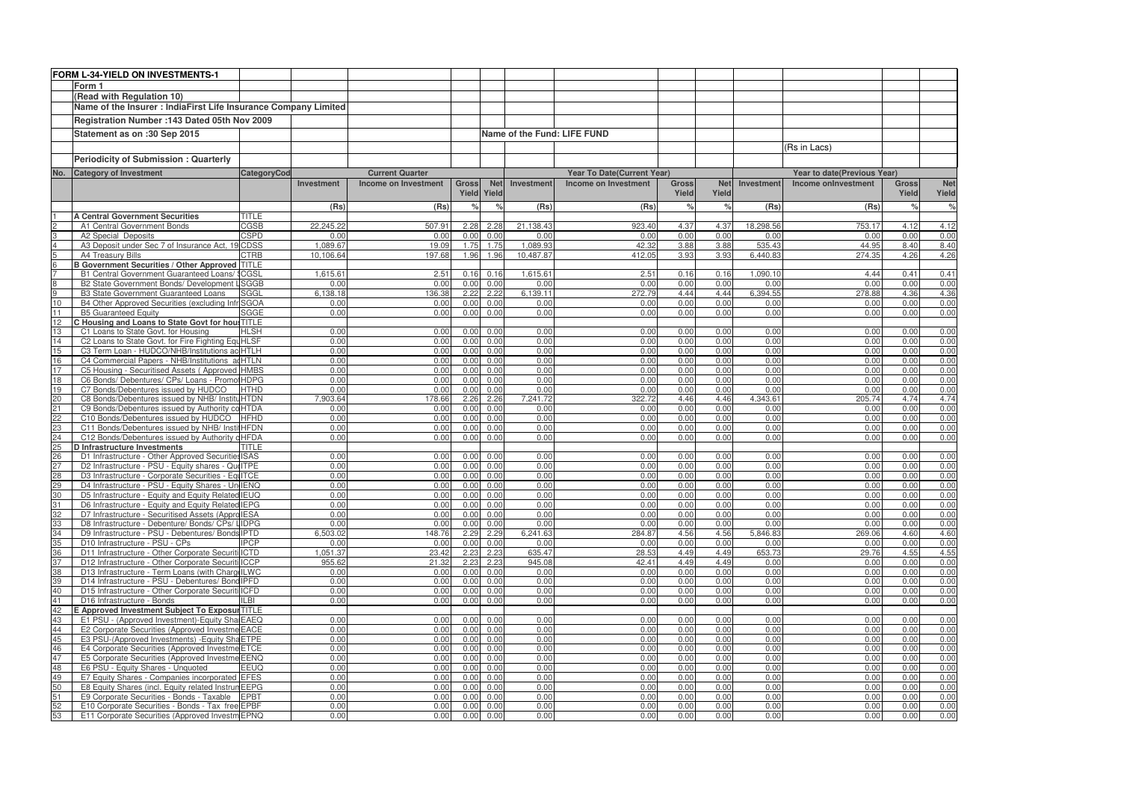|                 | FORM L-34-YIELD ON INVESTMENTS-1                                                                     |                            |              |                             |               |                    |              |                             |                       |              |                  |                             |                       |                    |
|-----------------|------------------------------------------------------------------------------------------------------|----------------------------|--------------|-----------------------------|---------------|--------------------|--------------|-----------------------------|-----------------------|--------------|------------------|-----------------------------|-----------------------|--------------------|
|                 | Form 1                                                                                               |                            |              |                             |               |                    |              |                             |                       |              |                  |                             |                       |                    |
|                 | (Read with Regulation 10)                                                                            |                            |              |                             |               |                    |              |                             |                       |              |                  |                             |                       |                    |
|                 | Name of the Insurer : IndiaFirst Life Insurance Company Limited                                      |                            |              |                             |               |                    |              |                             |                       |              |                  |                             |                       |                    |
|                 |                                                                                                      |                            |              |                             |               |                    |              |                             |                       |              |                  |                             |                       |                    |
|                 | Registration Number : 143 Dated 05th Nov 2009                                                        |                            |              |                             |               |                    |              |                             |                       |              |                  |                             |                       |                    |
|                 | Statement as on :30 Sep 2015                                                                         |                            |              |                             |               |                    |              | Name of the Fund: LIFE FUND |                       |              |                  |                             |                       |                    |
|                 |                                                                                                      |                            |              |                             |               |                    |              |                             |                       |              |                  | (Rs in Lacs)                |                       |                    |
|                 | <b>Periodicity of Submission: Quarterly</b>                                                          |                            |              |                             |               |                    |              |                             |                       |              |                  |                             |                       |                    |
|                 |                                                                                                      |                            |              |                             |               |                    |              |                             |                       |              |                  |                             |                       |                    |
| No.             | <b>Category of Investment</b>                                                                        | <b>CategoryCod</b>         |              | <b>Current Quarter</b>      |               | <b>Net</b>         |              | Year To Date(Current Year)  |                       | <b>Net</b>   | Investment       | Year to date(Previous Year) |                       |                    |
|                 |                                                                                                      |                            | Investment   | <b>Income on Investment</b> | <b>Gross</b>  | <b>Yield Yield</b> | Investment   | Income on Investment        | <b>Gross</b><br>Yield |              |                  | Income onlnvestment         | <b>Gross</b><br>Yield | <b>Net</b>         |
|                 |                                                                                                      |                            |              |                             |               |                    |              |                             |                       | Yield        |                  |                             |                       | Yield              |
|                 |                                                                                                      |                            | (Rs)         | (Rs)                        | $\frac{1}{2}$ |                    | (Rs)         | (Rs)                        | $\frac{1}{c}$         | $\%$         | (Rs)             | (Rs)                        | $\frac{6}{6}$         | $\frac{1}{\delta}$ |
|                 | <b>A Central Government Securities</b>                                                               | <b>TITLE</b>               | 22,245.22    |                             |               |                    | 21,138.43    |                             | 4.37                  |              | 18,298.56        | 753.17                      | 4.12                  |                    |
| 2<br>3          | A1 Central Government Bonds<br>A2 Special Deposits                                                   | <b>CGSB</b><br><b>CSPD</b> | 0.00         | 507.91<br>0.00              | 2.28<br>0.00  | 2.28<br>0.00       | 0.00         | 923.40<br>0.00              | 0.00                  | 4.37<br>0.00 | 0.00             | 0.00                        | 0.00                  | 4.12<br>0.00       |
| $\overline{4}$  | A3 Deposit under Sec 7 of Insurance Act, 19 CDSS                                                     |                            | 1,089.67     | 19.09                       | 1.75          | 1.75               | 1,089.93     | 42.32                       | 3.88                  | 3.88         | 535.43           | 44.95                       | 8.40                  | 8.40               |
| $5\overline{)}$ | A4 Treasury Bills                                                                                    | <b>CTRB</b>                | 10,106.64    | 197.68                      | 1.96          | 1.96               | 10,487.87    | 412.05                      | 3.93                  | 3.93         | 6,440.83         | 274.35                      | 4.26                  | 4.26               |
| 6               | <b>B Government Securities / Other Approved TITLE</b>                                                |                            |              |                             |               |                    |              |                             |                       |              |                  |                             |                       |                    |
|                 | B1 Central Government Guaranteed Loans/ ICGSL                                                        |                            | 1,615.61     | 2.51                        | 0.16          | 0.16               | 1,615.61     | 2.51                        | 0.16                  | 0.16         | 1,090.10         | 4.44                        | 0.41                  | 0.41               |
| 8               | B2 State Government Bonds/ Development                                                               | <b>LSGGB</b>               | 0.00         | 0.00                        | 0.00          | 0.00               | 0.00         | 0.00                        | 0.00                  | 0.00         | 0.00             | 0.00                        | 0.00                  | 0.00               |
| 9               | <b>B3 State Government Guaranteed Loans</b>                                                          | SGGL                       | 6,138.18     | 136.38                      | 2.22          | 2.22               | 6,139.11     | 272.79                      | 4.44                  | 4.44         | 6,394.55         | 278.88                      | 4.36                  | 4.36               |
| $10$            | B4 Other Approved Securities (excluding Infr SGOA                                                    |                            | 0.00         | 0.00                        | 0.00          | 0.00               | 0.00         | 0.00                        | 0.00                  | 0.00         | 0.00             | 0.00                        | 0.00                  | 0.00               |
| 11              | <b>B5 Guaranteed Equity</b>                                                                          | <b>SGGE</b>                | 0.00         | 0.00                        | 0.00          | 0.00               | 0.00         | 0.00                        | 0.00                  | 0.00         | 0.00             | 0.00                        | 0.00                  | 0.00               |
| 12<br>13        | C Housing and Loans to State Govt for hou: TITLE<br>C1 Loans to State Govt. for Housing              | <b>HLSH</b>                | 0.00         | 0.00                        | 0.00          | 0.00               | 0.00         | 0.00                        | 0.00                  | 0.00         | 0.00             | 0.00                        | 0.00                  |                    |
| 14              | C2 Loans to State Govt. for Fire Fighting EquHLSF                                                    |                            | 0.00         | 0.00                        | 0.00          | 0.00               | 0.00         | 0.00                        | 0.00                  | 0.00         | 0.00             | 0.00                        | 0.00                  | 0.00<br>0.00       |
| 15              | C3 Term Loan - HUDCO/NHB/Institutions ac HTLH                                                        |                            | 0.00         | 0.00                        | 0.00          | 0.00               | 0.00         | 0.00                        | 0.00                  | 0.00         | 0.00             | 0.00                        | 0.00                  | 0.00               |
| 16              | C4 Commercial Papers - NHB/Institutions ad HTLN                                                      |                            | 0.00         | 0.00                        | 0.00          | 0.00               | 0.00         | 0.00                        | 0.00                  | 0.00         | 0.00             | 0.00                        | 0.00                  | 0.00               |
| 17              | C5 Housing - Securitised Assets (Approved HMBS                                                       |                            | 0.00         | 0.00                        | 0.00          | 0.00               | 0.00         | 0.00                        | 0.00                  | 0.00         | 0.00             | 0.00                        | 0.00                  | 0.00               |
| 18              | C6 Bonds/ Debentures/ CPs/ Loans - Promo HDPG                                                        |                            | 0.00         | 0.00                        | 0.00          | 0.00               | 0.00         | 0.00                        | 0.00                  | 0.00         | 0.00             | 0.00                        | 0.00                  | 0.00               |
| 19              | C7 Bonds/Debentures issued by HUDCO                                                                  | <b>HTHD</b>                | 0.00         | 0.00                        | 0.00          | 0.00               | 0.00         | 0.00                        | 0.00                  | 0.00         | 0.00             | 0.00                        | 0.00                  | 0.00               |
| 20              | C8 Bonds/Debentures issued by NHB/ InstituHTDN                                                       |                            | 7,903.64     | 178.66                      | 2.26          | 2.26               | 7,241.72     | 322.72                      | 4.46                  | 4.46         | 4,343.61         | 205.74                      | 4.74                  | 4.74               |
| 21              | C9 Bonds/Debentures issued by Authority co HTDA                                                      |                            | 0.00         | 0.00                        | 0.00          | 0.00               | 0.00         | 0.00                        | 0.00                  | 0.00         | 0.00             | 0.00                        | 0.00                  | 0.00               |
| 22              | C10 Bonds/Debentures issued by HUDCO                                                                 | <b>HFHD</b>                | 0.00         | 0.00                        | 0.00          | 0.00               | 0.00         | 0.00                        | 0.00                  | 0.00         | 0.00             | 0.00                        | 0.00                  | 0.00               |
| 23<br>24        | C11 Bonds/Debentures issued by NHB/ InstitHFDN<br>C12 Bonds/Debentures issued by Authority dHFDA     |                            | 0.00<br>0.00 | 0.00<br>0.00                | 0.00<br>0.00  | 0.00<br>0.00       | 0.00<br>0.00 | 0.00<br>0.00                | 0.00<br>0.00          | 0.00<br>0.00 | 0.00<br>0.00     | 0.00<br>0.00                | 0.00<br>0.00          | 0.00<br>0.00       |
| 25              | <b>D</b> Infrastructure Investments                                                                  | <b>TITLE</b>               |              |                             |               |                    |              |                             |                       |              |                  |                             |                       |                    |
| 26              | D1 Infrastructure - Other Approved Securities ISAS                                                   |                            | 0.00         | 0.00                        | 0.00          | 0.00               | 0.00         | 0.00                        | 0.00                  | 0.00         | 0.00             | 0.00                        | 0.00                  | 0.00               |
| 27              | D2 Infrastructure - PSU - Equity shares - Qui ITPE                                                   |                            | 0.00         | 0.00                        | 0.00          | 0.00               | 0.00         | 0.00                        | 0.00                  | 0.00         | 0.00             | 0.00                        | 0.00                  | 0.00               |
| 28              | D3 Infrastructure - Corporate Securities - EquITCE                                                   |                            | 0.00         | 0.00                        | 0.00          | 0.00               | 0.00         | 0.00                        | 0.00                  | 0.00         | 0.00             | 0.00                        | 0.00                  | 0.00               |
| 29              | D4 Infrastructure - PSU - Equity Shares - Un IENQ                                                    |                            | 0.00         | 0.00                        | 0.00          | 0.00               | 0.00         | 0.00                        | 0.00                  | 0.00         | 0.00             | 0.00                        | 0.00                  | 0.00               |
| 30              | D5 Infrastructure - Equity and Equity Related IEUQ                                                   |                            | 0.00         | 0.00                        |               | 0.00 0.00          | 0.00         | 0.00                        | 0.00                  | 0.00         | 0.00             | 0.00                        | 0.00                  | 0.00               |
| 31              | D6 Infrastructure - Equity and Equity Related IEPG                                                   |                            | 0.00         | 0.00                        | 0.00          | 0.00               | 0.00         | 0.00                        | 0.00                  | 0.00         | 0.00             | 0.00                        | 0.00                  | 0.00               |
| 32              | D7 Infrastructure - Securitised Assets (Appro IESA                                                   |                            | 0.00<br>0.00 | 0.00                        | 0.00          | 0.00               | 0.00<br>0.00 | 0.00<br>0.00                | 0.00                  | 0.00         | 0.00             | 0.00                        | 0.00                  | 0.00               |
| 33<br>34        | D8 Infrastructure - Debenture/ Bonds/ CPs/ IIDPG<br>D9 Infrastructure - PSU - Debentures/ Bonds IPTD |                            | 6,503.02     | 0.00<br>148.76              | 0.00<br>2.29  | 0.00<br>2.29       | 6,241.63     | 284.87                      | 0.00<br>4.56          | 0.00<br>4.56 | 0.00<br>5,846.83 | 0.00<br>269.06              | 0.00<br>4.60          | 0.00<br>4.60       |
| 35              | D10 Infrastructure - PSU - CPs                                                                       | <b>IPCP</b>                | 0.00         | 0.00                        | 0.00          | 0.00               | 0.00         | 0.00                        | 0.00                  | 0.00         | 0.00             | 0.00                        | 0.00                  | 0.00               |
| 36              | D11 Infrastructure - Other Corporate Securiti ICTD                                                   |                            | 1,051.37     | 23.42                       | 2.23          | 2.23               | 635.47       | 28.53                       | 4.49                  | 4.49         | 653.73           | 29.76                       | 4.55                  | 4.55               |
| 37              | D12 Infrastructure - Other Corporate Securiti ICCP                                                   |                            | 955.62       | 21.32                       | 2.23          | 2.23               | 945.08       | 42.41                       | 4.49                  | 4.49         | 0.00             | 0.00                        | 0.00                  | 0.00               |
| 38              | D13 Infrastructure - Term Loans (with Charg ILWC                                                     |                            | 0.00         | 0.00                        | 0.00          | 0.00               | 0.00         | 0.00                        | 0.00                  | 0.00         | 0.00             | 0.00                        | 0.00                  | 0.00               |
| 39              | D14 Infrastructure - PSU - Debentures/ Bond IPFD                                                     |                            | 0.00         | 0.00                        | 0.00          | 0.00               | 0.00         | 0.00                        | 0.00                  | 0.00         | 0.00             | 0.00                        | 0.00                  | 0.00               |
| 40              | D15 Infrastructure - Other Corporate Securiti ICFD                                                   |                            | 0.00         | 0.00                        | 0.00          | 0.00               | 0.00         | 0.00                        | 0.00                  | 0.00         | 0.00             | 0.00                        | 0.00                  | 0.00               |
| 41              | D16 Infrastructure - Bonds                                                                           | <b>ILBI</b>                | 0.00         | 0.00                        | 0.00          | 0.00               | 0.00         | 0.00                        | 0.00                  | 0.00         | 0.00             | 0.00                        | 0.00                  | 0.00               |
| 42              | E Approved Investment Subject To Exposur TITLE                                                       |                            |              |                             |               |                    |              |                             |                       |              |                  |                             |                       |                    |
| 43<br>44        | E1 PSU - (Approved Investment)-Equity Sha EAEQ<br>E2 Corporate Securities (Approved Investme EACE    |                            | 0.00<br>0.00 | 0.00<br>0.00                | 0.00<br>0.00  | 0.00<br>0.00       | 0.00<br>0.00 | 0.00<br>0.00                | 0.00<br>0.00          | 0.00<br>0.00 | 0.00<br>0.00     | 0.00<br>0.00                | 0.00<br>0.00          | 0.00<br>0.00       |
| 45              | E3 PSU-(Approved Investments) - Equity Sha ETPE                                                      |                            | 0.00         | 0.00                        | 0.00          | 0.00               | 0.00         | 0.00                        | 0.00                  | 0.00         | 0.00             | 0.00                        | 0.00                  | 0.00               |
| 46              | E4 Corporate Securities (Approved Investme ETCE                                                      |                            | 0.00         | 0.00                        | 0.00          | 0.00               | 0.00         | 0.00                        | 0.00                  | 0.00         | 0.00             | 0.00                        | 0.00                  | 0.00               |
| 47              | E5 Corporate Securities (Approved Investme EENQ                                                      |                            | 0.00         | 0.00                        | 0.00          | 0.00               | 0.00         | 0.00                        | 0.00                  | 0.00         | 0.00             | 0.00                        | 0.00                  | 0.00               |
| 48              | E6 PSU - Equity Shares - Unquoted                                                                    | <b>EEUQ</b>                | 0.00         | 0.00                        | 0.00          | 0.00               | 0.00         | 0.00                        | 0.00                  | 0.00         | 0.00             | 0.00                        | 0.00                  | 0.00               |
| 49              | E7 Equity Shares - Companies incorporated EFES                                                       |                            | 0.00         | 0.00                        | 0.00          | 0.00               | 0.00         | 0.00                        | 0.00                  | 0.00         | 0.00             | 0.00                        | 0.00                  | 0.00               |
| 50              | E8 Equity Shares (incl. Equity related Instrun EEPG                                                  |                            | 0.00         | 0.00                        | 0.00          | 0.00               | 0.00         | 0.00                        | 0.00                  | 0.00         | 0.00             | 0.00                        | 0.00                  | 0.00               |
| 51              | E9 Corporate Securities - Bonds - Taxable EPBT                                                       |                            | 0.00         | 0.00                        | 0.00          | 0.00               | 0.00         | 0.00                        | 0.00                  | 0.00         | 0.00             | 0.00                        | 0.00                  | 0.00               |
| 52<br>53        | E10 Corporate Securities - Bonds - Tax free EPBF<br>E11 Corporate Securities (Approved Investm EPNQ  |                            | 0.00<br>0.00 | 0.00<br>0.00                | 0.00<br>0.00  | 0.00<br>0.00       | 0.00<br>0.00 | 0.00<br>0.00                | 0.00<br>0.00          | 0.00<br>0.00 | 0.00<br>0.00     | 0.00<br>0.00                | 0.00<br>0.00          | 0.00<br>0.00       |
|                 |                                                                                                      |                            |              |                             |               |                    |              |                             |                       |              |                  |                             |                       |                    |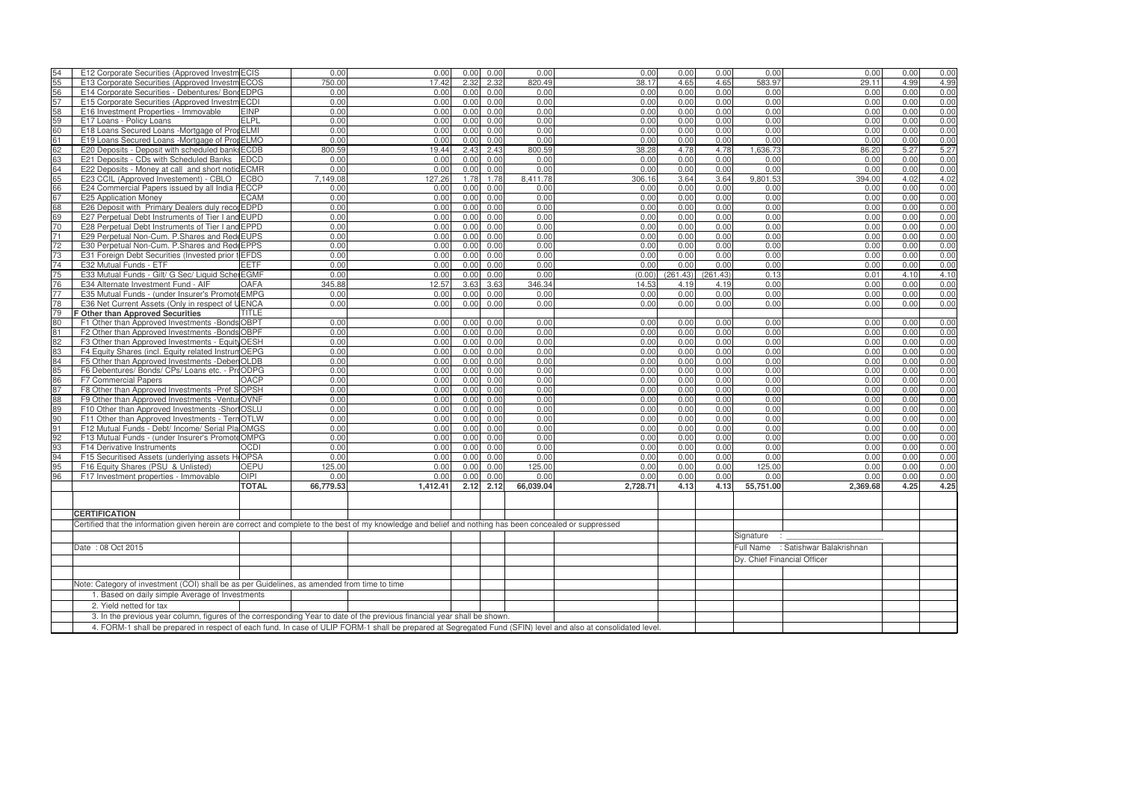| 54                                                                                          | E12 Corporate Securities (Approved Investm ECIS                                                                                                               |              | 0.00      | 0.00     | 0.00 | 0.00 | 0.00      | 0.00     | 0.00     | 0.00     | 0.00                        | 0.00                               | 0.00 | 0.00         |
|---------------------------------------------------------------------------------------------|---------------------------------------------------------------------------------------------------------------------------------------------------------------|--------------|-----------|----------|------|------|-----------|----------|----------|----------|-----------------------------|------------------------------------|------|--------------|
| 55                                                                                          | E13 Corporate Securities (Approved Investm ECOS                                                                                                               |              | 750.00    | 17.42    | 2.32 | 2.32 | 820.49    | 38.17    | 4.65     | 4.65     | 583.97                      | 29.11                              | 4.99 | 4.99         |
| 56                                                                                          | E14 Corporate Securities - Debentures/ Bond EDPG                                                                                                              |              | 0.00      | 0.00     | 0.00 | 0.00 | 0.00      | 0.00     | 0.00     | 0.00     | 0.00                        | 0.00                               | 0.00 | 0.00         |
| 57                                                                                          | E15 Corporate Securities (Approved Investm ECDI                                                                                                               |              | 0.00      | 0.00     | 0.00 | 0.00 | 0.00      | 0.00     | 0.00     | 0.00     | 0.00                        | 0.00                               | 0.00 | 0.00         |
| 58                                                                                          | E16 Investment Properties - Immovable                                                                                                                         | <b>EINP</b>  | 0.00      | 0.00     | 0.00 | 0.00 | 0.00      | 0.00     | 0.00     | 0.00     | 0.00                        | 0.00                               | 0.00 | 0.00         |
| 59                                                                                          | E17 Loans - Policy Loans                                                                                                                                      | <b>ELPL</b>  | 0.00      | 0.00     | 0.00 | 0.00 | 0.00      | 0.00     | 0.00     | 0.00     | 0.00                        | 0.00                               | 0.00 | 0.00         |
| 60                                                                                          | E18 Loans Secured Loans - Mortgage of Prop ELMI                                                                                                               |              | 0.00      | 0.00     | 0.00 | 0.00 | 0.00      | 0.00     | 0.00     | 0.00     | 0.00                        | 0.00                               | 0.00 | 0.00         |
| 61                                                                                          | E19 Loans Secured Loans -Mortgage of Pror ELMO                                                                                                                |              | 0.00      | 0.00     | 0.00 | 0.00 | 0.00      | 0.00     | 0.00     | 0.00     | 0.00                        | 0.00                               | 0.00 | 0.00         |
| 62                                                                                          | E20 Deposits - Deposit with scheduled banks ECDB                                                                                                              |              | 800.59    | 19.44    | 2.43 | 2.43 | 800.59    | 38.28    | 4.78     | 4.78     | 1,636.73                    | 86.20                              | 5.27 | 5.27         |
| 63                                                                                          | E21 Deposits - CDs with Scheduled Banks                                                                                                                       | <b>EDCD</b>  | 0.00      | 0.00     | 0.00 | 0.00 | 0.00      | 0.00     | 0.00     | 0.00     | 0.00                        | 0.00                               | 0.00 | 0.00         |
| 64                                                                                          | E22 Deposits - Money at call and short notic ECMR                                                                                                             |              | 0.00      | 0.00     | 0.00 | 0.00 | 0.00      | 0.00     | 0.00     | 0.00     | 0.00                        | 0.00                               | 0.00 | 0.00         |
| 65                                                                                          | E23 CCIL (Approved Investement) - CBLO                                                                                                                        | <b>ECBO</b>  | 7,149.08  | 127.26   | 1.78 | 1.78 | 8.411.78  | 306.16   | 3.64     | 3.64     | 9,801.53                    | 394.00                             | 4.02 | 4.02         |
| 66                                                                                          | E24 Commercial Papers issued by all India FECCP                                                                                                               |              | 0.00      | 0.00     | 0.00 | 0.00 | 0.00      | 0.00     | 0.00     | 0.00     | 0.00                        | 0.00                               | 0.00 | 0.00         |
| 67                                                                                          | E25 Application Money                                                                                                                                         | <b>ECAM</b>  | 0.00      | 0.00     | 0.00 | 0.00 | 0.00      | 0.00     | 0.00     | 0.00     | 0.00                        | 0.00                               | 0.00 | 0.00         |
| 68                                                                                          | E26 Deposit with Primary Dealers duly recogEDPD                                                                                                               |              | 0.00      | 0.00     | 0.00 | 0.00 | 0.00      | 0.00     | 0.00     | 0.00     | 0.00                        | 0.00                               | 0.00 | 0.00         |
| 69                                                                                          |                                                                                                                                                               |              | 0.00      |          | 0.00 |      | 0.00      |          |          |          |                             |                                    |      |              |
|                                                                                             | E27 Perpetual Debt Instruments of Tier I and EUPD                                                                                                             |              |           | 0.00     |      | 0.00 |           | 0.00     | 0.00     | 0.00     | 0.00                        | 0.00                               | 0.00 | 0.00<br>0.00 |
| 70                                                                                          | E28 Perpetual Debt Instruments of Tier I and EPPD                                                                                                             |              | 0.00      | 0.00     | 0.00 | 0.00 | 0.00      | 0.00     | 0.00     | 0.00     | 0.00                        | 0.00                               | 0.00 |              |
| 71                                                                                          | E29 Perpetual Non-Cum. P. Shares and Red EUPS                                                                                                                 |              | 0.00      | 0.00     | 0.00 | 0.00 | 0.00      | 0.00     | 0.00     | 0.00     | 0.00                        | 0.00                               | 0.00 | 0.00         |
| 72                                                                                          | E30 Perpetual Non-Cum. P.Shares and Red EPPS                                                                                                                  |              | 0.00      | 0.00     | 0.00 | 0.00 | 0.00      | 0.00     | 0.00     | 0.00     | 0.00                        | 0.00                               | 0.00 | 0.00         |
| 73                                                                                          | E31 Foreign Debt Securities (Invested prior t EFDS                                                                                                            |              | 0.00      | 0.00     | 0.00 | 0.00 | 0.00      | 0.00     | 0.00     | 0.00     | 0.00                        | 0.00                               | 0.00 | 0.00         |
| 74                                                                                          | E32 Mutual Funds - ETF                                                                                                                                        | <b>EETF</b>  | 0.00      | 0.00     | 0.00 | 0.00 | 0.00      | 0.00     | 0.00     | 0.00     | 0.00                        | 0.00                               | 0.00 | 0.00         |
| 75                                                                                          | E33 Mutual Funds - Gilt/ G Sec/ Liquid Schel EGMF                                                                                                             |              | 0.00      | 0.00     | 0.00 | 0.00 | 0.00      | (0.00)   | (261.43) | (261.43) | 0.13                        | 0.01                               | 4.10 | 4.10         |
| 76                                                                                          | E34 Alternate Investment Fund - AIF                                                                                                                           | <b>OAFA</b>  | 345.88    | 12.57    | 3.63 | 3.63 | 346.34    | 14.53    | 4.19     | 4.19     | 0.00                        | 0.00                               | 0.00 | 0.00         |
| 77                                                                                          | E35 Mutual Funds - (under Insurer's Promote EMPG                                                                                                              |              | 0.00      | 0.00     | 0.00 | 0.00 | 0.00      | 0.00     | 0.00     | 0.00     | 0.00                        | 0.00                               | 0.00 | 0.00         |
| 78                                                                                          | E36 Net Current Assets (Only in respect of UENCA                                                                                                              |              | 0.00      | 0.00     | 0.00 | 0.00 | 0.00      | 0.00     | 0.00     | 0.00     | 0.00                        | 0.00                               | 0.00 | 0.00         |
| 79                                                                                          | <b>F Other than Approved Securities</b>                                                                                                                       | TITLE        |           |          |      |      |           |          |          |          |                             |                                    |      |              |
| 80                                                                                          | F1 Other than Approved Investments - Bonds OBPT                                                                                                               |              | 0.00      | 0.00     | 0.00 | 0.00 | 0.00      | 0.00     | 0.00     | 0.00     | 0.00                        | 0.00                               | 0.00 | 0.00         |
| 81                                                                                          | F2 Other than Approved Investments - Bonds OBPF                                                                                                               |              | 0.00      | 0.00     | 0.00 | 0.00 | 0.00      | 0.00     | 0.00     | 0.00     | 0.00                        | 0.00                               | 0.00 | 0.00         |
| 82                                                                                          | F3 Other than Approved Investments - Equity OESH                                                                                                              |              | 0.00      | 0.00     | 0.00 | 0.00 | 0.00      | 0.00     | 0.00     | 0.00     | 0.00                        | 0.00                               | 0.00 | 0.00         |
| 83                                                                                          | F4 Equity Shares (incl. Equity related Instrum OEPG                                                                                                           |              | 0.00      | 0.00     | 0.00 | 0.00 | 0.00      | 0.00     | 0.00     | 0.00     | 0.00                        | 0.00                               | 0.00 | 0.00         |
| 84                                                                                          | F5 Other than Approved Investments - Deber OLDB                                                                                                               |              | 0.00      | 0.00     | 0.00 | 0.00 | 0.00      | 0.00     | 0.00     | 0.00     | 0.00                        | 0.00                               | 0.00 | 0.00         |
| 85                                                                                          | F6 Debentures/ Bonds/ CPs/ Loans etc. - ProODPG                                                                                                               |              | 0.00      | 0.00     | 0.00 | 0.00 | 0.00      | 0.00     | 0.00     | 0.00     | 0.00                        | 0.00                               | 0.00 | 0.00         |
| 86                                                                                          | F7 Commercial Papers                                                                                                                                          | <b>OACP</b>  | 0.00      | 0.00     | 0.00 | 0.00 | 0.00      | 0.00     | 0.00     | 0.00     | 0.00                        | 0.00                               | 0.00 | 0.00         |
| 87                                                                                          | F8 Other than Approved Investments - Pref SOPSH                                                                                                               |              | 0.00      | 0.00     | 0.00 | 0.00 | 0.00      | 0.00     | 0.00     | 0.00     | 0.00                        | 0.00                               | 0.00 | 0.00         |
| 88                                                                                          | F9 Other than Approved Investments - Ventul OVNF                                                                                                              |              | 0.00      | 0.00     | 0.00 | 0.00 | 0.00      | 0.00     | 0.00     | 0.00     | 0.00                        | 0.00                               | 0.00 | 0.00         |
| 89                                                                                          | F10 Other than Approved Investments -Shor OSLU                                                                                                                |              | 0.00      | 0.00     | 0.00 | 0.00 | 0.00      | 0.00     | 0.00     | 0.00     | 0.00                        | 0.00                               | 0.00 | 0.00         |
| 90                                                                                          | F11 Other than Approved Investments - TernOTLW                                                                                                                |              | 0.00      | 0.00     | 0.00 | 0.00 | 0.00      | 0.00     | 0.00     | 0.00     | 0.00                        | 0.00                               | 0.00 | 0.00         |
| 91                                                                                          | F12 Mutual Funds - Debt/ Income/ Serial Pla OMGS                                                                                                              |              | 0.00      | 0.00     | 0.00 | 0.00 | 0.00      | 0.00     | 0.00     | 0.00     | 0.00                        | 0.00                               | 0.00 | 0.00         |
| 92                                                                                          | F13 Mutual Funds - (under Insurer's PromoteOMPG                                                                                                               |              | 0.00      | 0.00     | 0.00 | 0.00 | 0.00      | 0.00     | 0.00     | 0.00     | 0.00                        | 0.00                               | 0.00 | 0.00         |
| 93                                                                                          | F14 Derivative Instruments                                                                                                                                    | <b>OCDI</b>  | 0.00      | 0.00     | 0.00 | 0.00 | 0.00      | 0.00     | 0.00     | 0.00     | 0.00                        | 0.00                               | 0.00 | 0.00         |
| 94                                                                                          | F15 Securitised Assets (underlying assets HOPSA                                                                                                               |              | 0.00      | 0.00     | 0.00 | 0.00 | 0.00      | 0.00     | 0.00     | 0.00     | 0.00                        | 0.00                               | 0.00 | 0.00         |
| 95                                                                                          | F16 Equity Shares (PSU & Unlisted)                                                                                                                            | <b>OEPU</b>  | 125.00    | 0.00     | 0.00 | 0.00 | 125.00    | 0.00     | 0.00     | 0.00     | 125.00                      | 0.00                               | 0.00 | 0.00         |
| 96                                                                                          | F17 Investment properties - Immovable                                                                                                                         | <b>OIPI</b>  | 0.00      | 0.00     | 0.00 | 0.00 | 0.00      | 0.00     | 0.00     | 0.00     | 0.00                        | 0.00                               | 0.00 | 0.00         |
|                                                                                             |                                                                                                                                                               | <b>TOTAL</b> | 66,779.53 | 1,412.41 | 2.12 | 2.12 | 66,039.04 | 2,728.71 | 4.13     | 4.13     | 55,751.00                   | 2,369.68                           | 4.25 | 4.25         |
|                                                                                             |                                                                                                                                                               |              |           |          |      |      |           |          |          |          |                             |                                    |      |              |
|                                                                                             |                                                                                                                                                               |              |           |          |      |      |           |          |          |          |                             |                                    |      |              |
|                                                                                             | <b>CERTIFICATION</b>                                                                                                                                          |              |           |          |      |      |           |          |          |          |                             |                                    |      |              |
|                                                                                             | Certified that the information given herein are correct and complete to the best of my knowledge and belief and nothing has been concealed or suppressed      |              |           |          |      |      |           |          |          |          |                             |                                    |      |              |
|                                                                                             |                                                                                                                                                               |              |           |          |      |      |           |          |          |          | Signature : _               |                                    |      |              |
|                                                                                             |                                                                                                                                                               |              |           |          |      |      |           |          |          |          |                             | Full Name : Satishwar Balakrishnan |      |              |
|                                                                                             | Date: 08 Oct 2015                                                                                                                                             |              |           |          |      |      |           |          |          |          |                             |                                    |      |              |
|                                                                                             |                                                                                                                                                               |              |           |          |      |      |           |          |          |          | Dy. Chief Financial Officer |                                    |      |              |
|                                                                                             |                                                                                                                                                               |              |           |          |      |      |           |          |          |          |                             |                                    |      |              |
| Note: Category of investment (COI) shall be as per Guidelines, as amended from time to time |                                                                                                                                                               |              |           |          |      |      |           |          |          |          |                             |                                    |      |              |
| 1. Based on daily simple Average of Investments                                             |                                                                                                                                                               |              |           |          |      |      |           |          |          |          |                             |                                    |      |              |
| 2. Yield netted for tax                                                                     |                                                                                                                                                               |              |           |          |      |      |           |          |          |          |                             |                                    |      |              |
|                                                                                             | 3. In the previous year column, figures of the corresponding Year to date of the previous financial year shall be shown.                                      |              |           |          |      |      |           |          |          |          |                             |                                    |      |              |
|                                                                                             | 4. FORM-1 shall be prepared in respect of each fund. In case of ULIP FORM-1 shall be prepared at Segregated Fund (SFIN) level and also at consolidated level. |              |           |          |      |      |           |          |          |          |                             |                                    |      |              |
|                                                                                             |                                                                                                                                                               |              |           |          |      |      |           |          |          |          |                             |                                    |      |              |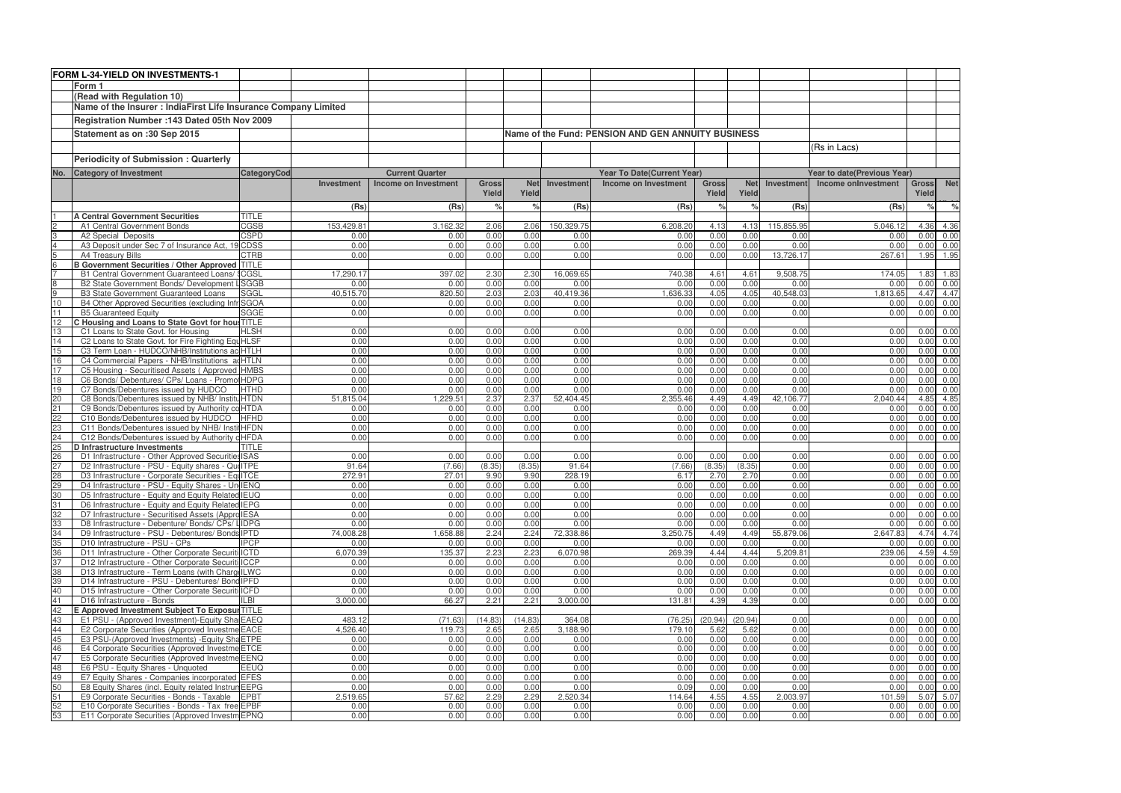|                                   | FORM L-34-YIELD ON INVESTMENTS-1                                                                       |                            |                   |                        |              |              |                   |                                                    |               |              |                   |                             |              |                                   |
|-----------------------------------|--------------------------------------------------------------------------------------------------------|----------------------------|-------------------|------------------------|--------------|--------------|-------------------|----------------------------------------------------|---------------|--------------|-------------------|-----------------------------|--------------|-----------------------------------|
|                                   | Form 1                                                                                                 |                            |                   |                        |              |              |                   |                                                    |               |              |                   |                             |              |                                   |
|                                   | (Read with Regulation 10)                                                                              |                            |                   |                        |              |              |                   |                                                    |               |              |                   |                             |              |                                   |
|                                   | Name of the Insurer : IndiaFirst Life Insurance Company Limited                                        |                            |                   |                        |              |              |                   |                                                    |               |              |                   |                             |              |                                   |
|                                   | Registration Number : 143 Dated 05th Nov 2009                                                          |                            |                   |                        |              |              |                   |                                                    |               |              |                   |                             |              |                                   |
|                                   | Statement as on :30 Sep 2015                                                                           |                            |                   |                        |              |              |                   | Name of the Fund: PENSION AND GEN ANNUITY BUSINESS |               |              |                   |                             |              |                                   |
|                                   |                                                                                                        |                            |                   |                        |              |              |                   |                                                    |               |              |                   | (Rs in Lacs)                |              |                                   |
|                                   | <b>Periodicity of Submission: Quarterly</b>                                                            |                            |                   |                        |              |              |                   |                                                    |               |              |                   |                             |              |                                   |
| No.                               | <b>Category of Investment</b>                                                                          | <b>CategoryCod</b>         |                   | <b>Current Quarter</b> |              |              |                   | <b>Year To Date(Current Year)</b>                  |               |              |                   | Year to date(Previous Year) |              |                                   |
|                                   |                                                                                                        |                            | <b>Investment</b> | Income on Investment   | <b>Gross</b> | <b>Net</b>   | Investment        | Income on Investment                               | <b>Gross</b>  | <b>Net</b>   | Investment        | Income onlnvestment         | Gross        | <b>Net</b>                        |
|                                   |                                                                                                        |                            |                   |                        | Yield        | Yield        |                   |                                                    | Yield         | Yield        |                   |                             | Yield        |                                   |
|                                   |                                                                                                        |                            | (Rs)              | (Rs)                   |              | $\%$         | (Rs)              | (Rs)                                               | $\frac{1}{2}$ |              | (Rs)              | (Rs)                        | $\%$         | $\%$                              |
|                                   | <b>A Central Government Securities</b>                                                                 | <b>TITLE</b>               |                   |                        |              |              |                   |                                                    |               |              |                   |                             |              |                                   |
| $\mathfrak{p}$                    | A1 Central Government Bonds                                                                            | CGSB                       | 153,429.8         | 3,162.32               | 2.06         | 2.06         | 150,329.75        | 6,208.20                                           | 4.13          | 4.13         | 115,855.95        | 5,046.1                     |              | 4.36 4.36                         |
| 3                                 | A2 Special Deposits                                                                                    | <b>CSPD</b>                | 0.00              | 0.00                   | 0.00         | 0.00         | 0.00              | 0.00                                               | 0.00          | 0.00<br>0.00 | 0.00              | 0.00                        | 0.00         | 0.00                              |
| $\overline{4}$<br>$5\overline{)}$ | A3 Deposit under Sec 7 of Insurance Act, 19<br>A4 Treasury Bills                                       | <b>CDSS</b><br><b>CTRB</b> | 0.00<br>0.00      | 0.00<br>0.00           | 0.00<br>0.00 | 0.00<br>0.00 | 0.00<br>0.00      | 0.00<br>0.00                                       | 0.00<br>0.00  | 0.00         | 0.00<br>13,726.17 | 0.00<br>267.61              | 0.00         | 0.00<br>1.95 1.95                 |
| $6\overline{6}$                   | <b>B Government Securities / Other Approved TITLE</b>                                                  |                            |                   |                        |              |              |                   |                                                    |               |              |                   |                             |              |                                   |
|                                   | B1 Central Government Guaranteed Loans/                                                                | ' <b>CGSL</b>              | 17,290.1          | 397.02                 | 2.30         | 2.30         | 16,069.65         | 740.38                                             | 4.61          | 4.61         | 9,508.75          | 174.05                      | 1.83         | 1.83                              |
| 8                                 | B2 State Government Bonds/ Development LSGGB                                                           |                            | 0.00              | 0.00                   | 0.00         | 0.00         | 0.00              | 0.00                                               | 0.00          | 0.00         | 0.00              | 0.00                        |              | $0.00 \quad 0.00$                 |
| 9                                 | <b>B3 State Government Guaranteed Loans</b>                                                            | <b>SGGL</b>                | 40,515.70         | 820.50                 | 2.03         | 2.03         | 40,419.36         | 1.636.33                                           | 4.05          | 4.05         | 40,548.03         | 1.813.65                    | 4.47         | 4.47                              |
| 10<br>11                          | B4 Other Approved Securities (excluding Infr SGOA                                                      |                            | 0.00              | 0.00                   | 0.00         | 0.00         | 0.00              | 0.00                                               | 0.00          | 0.00         | 0.00              | 0.00                        | 0.00         | 0.00                              |
| 12                                | <b>B5 Guaranteed Equity</b><br>C Housing and Loans to State Govt for hou: TITLE                        | <b>SGGE</b>                | 0.00              | 0.00                   | 0.00         | 0.00         | 0.00              | 0.00                                               | 0.00          | 0.00         | 0.00              | 0.00                        | 0.00         | 0.00                              |
| 13                                | C1 Loans to State Govt. for Housing                                                                    | <b>HLSH</b>                | 0.00              | 0.00                   | 0.00         | 0.00         | 0.00              | 0.00                                               | 0.00          | 0.00         | 0.00              | 0.00                        |              | $0.00 \quad 0.00$                 |
| 14                                | C2 Loans to State Govt. for Fire Fighting EquHLSF                                                      |                            | 0.00              | 0.00                   | 0.00         | 0.00         | 0.00              | 0.00                                               | 0.00          | 0.00         | 0.00              | 0.00                        | 0.00         | 0.00                              |
| 15                                | C3 Term Loan - HUDCO/NHB/Institutions ac HTLH                                                          |                            | 0.00              | 0.00                   | 0.00         | 0.00         | 0.00              | 0.00                                               | 0.00          | 0.00         | 0.00              | 0.00                        | 0.00         | 0.00                              |
| 16                                | C4 Commercial Papers - NHB/Institutions ad HTLN                                                        |                            | 0.00              | 0.00                   | 0.00         | 0.00         | 0.00              | 0.00                                               | 0.00          | 0.00         | 0.00              | 0.00                        | 0.00         | 0.00                              |
| 17                                | C5 Housing - Securitised Assets (Approved HMBS                                                         |                            | 0.00              | 0.00                   | 0.00         | 0.00         | 0.00              | 0.00                                               | 0.00          | 0.00         | 0.00              | 0.00                        | 0.00         | 0.00                              |
| 18<br>19                          | C6 Bonds/ Debentures/ CPs/ Loans - Promo<br>C7 Bonds/Debentures issued by HUDCO                        | HDPG<br><b>HTHD</b>        | 0.00<br>0.00      | 0.00<br>0.00           | 0.00<br>0.00 | 0.00<br>0.00 | 0.00<br>0.00      | 0.00<br>0.00                                       | 0.00<br>0.00  | 0.00<br>0.00 | 0.00<br>0.00      | 0.00<br>0.00                | 0.00<br>0.00 | 0.00<br>0.00                      |
| $\overline{c}$                    | C8 Bonds/Debentures issued by NHB/ InstitutHTDN                                                        |                            | 51,815.04         | 1,229.51               | 2.37         | 2.37         | 52,404.45         | 2,355.46                                           | 4.49          | 4.49         | 42,106.77         | 2,040.44                    |              | 4.85 4.85                         |
| 21                                | C9 Bonds/Debentures issued by Authority co HTDA                                                        |                            | 0.00              | 0.00                   | 0.00         | 0.00         | 0.00              | 0.00                                               | 0.00          | 0.00         | 0.00              | 0.00                        | 0.00         | 0.00                              |
| 22                                | C10 Bonds/Debentures issued by HUDCO                                                                   | <b>HFHD</b>                | 0.00              | 0.00                   | 0.00         | 0.00         | 0.00              | 0.00                                               | 0.00          | 0.00         | 0.00              | 0.00                        | 0.00         | 0.00                              |
| SZ                                | C11 Bonds/Debentures issued by NHB/ InstitHFDN                                                         |                            | 0.00              | 0.00                   | 0.00         | 0.00         | 0.00              | 0.00                                               | 0.00          | 0.00         | 0.00              | 0.00                        | 0.00         | 0.00                              |
| $\overline{24}$                   | C12 Bonds/Debentures issued by Authority                                                               | <b>cHFDA</b>               | 0.00              | 0.00                   | 0.00         | 0.00         | 0.00              | 0.00                                               | 0.00          | 0.00         | 0.00              | 0.00                        | 0.00         | 0.00                              |
| 25<br>26                          | <b>D</b> Infrastructure Investments<br>D1 Infrastructure - Other Approved Securities ISAS              | <b>TITLE</b>               | 0.00              | 0.00                   | 0.00         | 0.00         | 0.00              | 0.00                                               | 0.00          | 0.00         | 0.00              | 0.00                        |              |                                   |
| 27                                | D2 Infrastructure - PSU - Equity shares - Qui ITPE                                                     |                            | 91.64             | (7.66)                 | (8.35)       | (8.35)       | 91.64             | (7.66)                                             | (8.35)        | (8.35)       | 0.00              | 0.00                        | 0.00         | $0.00 \quad 0.00$<br>0.00         |
| 28                                | D3 Infrastructure - Corporate Securities - EquITCE                                                     |                            | 272.91            | 27.01                  | 9.90         | 9.90         | 228.19            | 6.17                                               | 2.70          | 2.70         | 0.00              | 0.00                        |              | $0.00 \quad 0.00$                 |
| 29                                | D4 Infrastructure - PSU - Equity Shares - Un IENQ                                                      |                            | 0.00              | 0.00                   | 0.00         | 0.00         | 0.00              | 0.00                                               | 0.00          | 0.00         | 0.00              | 0.00                        | 0.00         | 0.00                              |
| 30                                | D5 Infrastructure - Equity and Equity Related IEUQ                                                     |                            | 0.00              | 0.00                   | 0.00         | 0.00         | 0.00              | 0.00                                               | 0.00          | 0.00         | 0.00              | 0.00                        |              | $0.00 \quad 0.00$                 |
|                                   | D6 Infrastructure - Equity and Equity Related IEPG                                                     |                            | 0.00              | 0.00                   | 0.00         | 0.00         | 0.00              | 0.00                                               | 0.00          | 0.00         | 0.00              | 0.00                        |              | $0.00 \quad 0.00$                 |
| 32                                | D7 Infrastructure - Securitised Assets (Appro IESA                                                     |                            | 0.00              | 0.00                   | 0.00         | 0.00         | 0.00              | 0.00                                               | 0.00          | 0.00         | 0.00              | 0.00                        |              | $0.00\ 0.00$                      |
| 33<br>34                          | D8 Infrastructure - Debenture/ Bonds/ CPs/ LIDPG<br>D9 Infrastructure - PSU - Debentures/ Bonds IPTD   |                            | 0.00<br>74,008.28 | 0.00<br>1,658.88       | 0.00<br>2.24 | 0.00<br>2.24 | 0.00<br>72,338.86 | 0.00<br>3,250.75                                   | 0.00<br>4.49  | 0.00<br>4.49 | 0.00<br>55,879.06 | 0.00<br>2,647.83            |              | $0.00 \quad 0.00$<br>4.74 4.74    |
| 35                                | D10 Infrastructure - PSU - CPs                                                                         | <b>IPCP</b>                | 0.00              | 0.00                   | 0.00         | 0.00         | 0.00              | 0.00                                               | 0.00          | 0.00         | 0.00              | 0.00                        |              | $0.00 \quad 0.00$                 |
| 36                                | D11 Infrastructure - Other Corporate Securiti ICTD                                                     |                            | 6,070.39          | 135.37                 | 2.23         | 2.23         | 6,070.98          | 269.39                                             | 4.44          | 4.44         | 5,209.81          | 239.06                      |              | 4.59 4.59                         |
| 37                                | D12 Infrastructure - Other Corporate Securiti ICCP                                                     |                            | 0.00              | 0.00                   | 0.00         | 0.00         | 0.00              | 0.00                                               | 0.00          | 0.00         | 0.00              | 0.00                        |              | $0.00 \quad 0.00$                 |
| 38                                | D13 Infrastructure - Term Loans (with Charg ILWC                                                       |                            | 0.00              | 0.00                   | 0.00         | 0.00         | 0.00              | 0.00                                               | 0.00          | 0.00         | 0.00              | 0.00                        |              | $0.00 \quad 0.00$                 |
| 39<br>40                          | D14 Infrastructure - PSU - Debentures/ Bond IPFD<br>D15 Infrastructure - Other Corporate Securiti ICFD |                            | 0.00<br>0.00      | 0.00<br>0.00           | 0.00<br>0.00 | 0.00<br>0.00 | 0.00<br>0.00      | 0.00<br>0.00                                       | 0.00<br>0.00  | 0.00<br>0.00 | 0.00<br>0.00      | 0.00<br>0.00                |              | $0.00 \quad 0.00$<br>0.00 0.00    |
| 41                                | D16 Infrastructure - Bonds                                                                             | <b>ILBI</b>                | 3,000.00          | 66.27                  | 2.21         | 2.21         | 3,000.00          | 131.81                                             | 4.39          | 4.39         | 0.00              | 0.00                        |              | $0.00 \quad 0.00$                 |
| 42                                | E Approved Investment Subject To Exposul TITLE                                                         |                            |                   |                        |              |              |                   |                                                    |               |              |                   |                             |              |                                   |
| 43                                | E1 PSU - (Approved Investment)-Equity Sha EAEQ                                                         |                            | 483.12            | (71.63)                | (14.83)      | (14.83)      | 364.08            | (76.25)                                            | (20.94)       | (20.94)      | 0.00              | 0.00                        |              | $0.00 \quad 0.00$                 |
| 44                                | E2 Corporate Securities (Approved Investme EACE                                                        |                            | 4,526.40          | 119.73                 | 2.65         | 2.65         | 3,188.90          | 179.10                                             | 5.62          | 5.62         | 0.00              | 0.00                        |              | $0.00 \quad 0.00$                 |
| 45                                | E3 PSU-(Approved Investments) - Equity Sha ETPE                                                        |                            | 0.00              | 0.00                   | 0.00         | 0.00         | 0.00              | 0.00                                               | 0.00          | 0.00         | 0.00              | 0.00                        |              | $0.00 \quad 0.00$                 |
| 46                                | E4 Corporate Securities (Approved Investme ETCE                                                        |                            | 0.00              | 0.00                   | 0.00         | 0.00         | 0.00              | 0.00                                               | 0.00          | 0.00         | 0.00              | 0.00                        |              | $0.00 \quad 0.00$                 |
| 47<br>48                          | E5 Corporate Securities (Approved Investme EENQ<br>E6 PSU - Equity Shares - Unquoted                   | <b>EEUQ</b>                | 0.00<br>0.00      | 0.00<br>0.00           | 0.00<br>0.00 | 0.00<br>0.00 | 0.00<br>0.00      | 0.00<br>0.00                                       | 0.00<br>0.00  | 0.00<br>0.00 | 0.00<br>0.00      | 0.00<br>0.00                |              | $0.00 \quad 0.00$<br>$0.00\ 0.00$ |
| 49                                | E7 Equity Shares - Companies incorporated EFES                                                         |                            | 0.00              | 0.00                   | 0.00         | 0.00         | 0.00              | 0.00                                               | 0.00          | 0.00         | 0.00              | 0.00                        |              | $0.00 \quad 0.00$                 |
| 50                                | E8 Equity Shares (incl. Equity related Instrun EEPG                                                    |                            | 0.00              | 0.00                   | 0.00         | 0.00         | 0.00              | 0.09                                               | 0.00          | 0.00         | 0.00              | 0.00                        |              | $0.00 \quad 0.00$                 |
| 51                                | E9 Corporate Securities - Bonds - Taxable EPBT                                                         |                            | 2,519.65          | 57.62                  | 2.29         | 2.29         | 2,520.34          | 114.64                                             | 4.55          | 4.55         | 2,003.97          | 101.59                      |              | 5.07 5.07                         |
| 52                                | E10 Corporate Securities - Bonds - Tax free EPBF                                                       |                            | 0.00              | 0.00                   | 0.00         | 0.00         | 0.00              | 0.00                                               | 0.00          | 0.00         | 0.00              | 0.00                        |              | $0.00 \quad 0.00$                 |
| 53                                | E11 Corporate Securities (Approved Investm EPNQ                                                        |                            | 0.00              | 0.00                   | 0.00         | 0.00         | 0.00              | 0.00                                               | 0.00          | 0.00         | 0.00              | 0.00                        |              | $0.00 \quad 0.00$                 |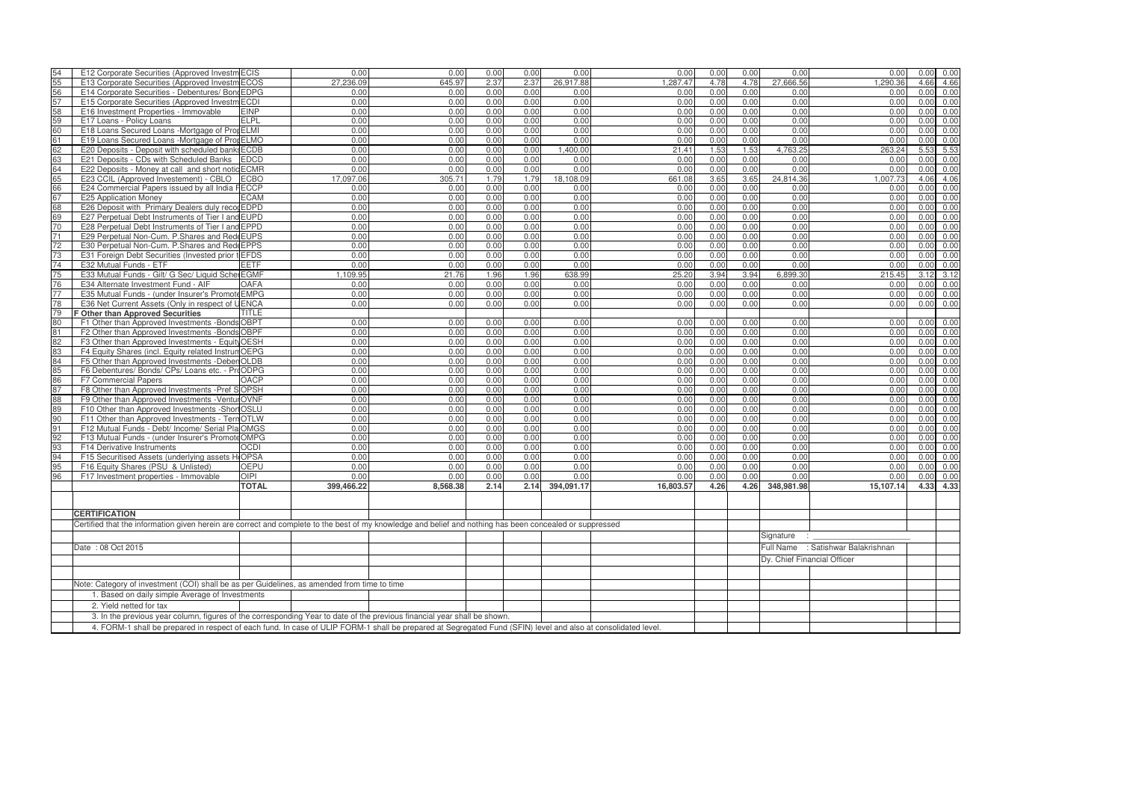| 54                                                                                                                                                                                                                                                                                        | E12 Corporate Securities (Approved Investm ECIS                                                                                                          |              | 0.00       | 0.00     | 0.00 | 0.00 | 0.00       | 0.00      | 0.00 | 0.00 | 0.00          | 0.00                               | 0.00 | 0.00      |
|-------------------------------------------------------------------------------------------------------------------------------------------------------------------------------------------------------------------------------------------------------------------------------------------|----------------------------------------------------------------------------------------------------------------------------------------------------------|--------------|------------|----------|------|------|------------|-----------|------|------|---------------|------------------------------------|------|-----------|
| 55                                                                                                                                                                                                                                                                                        | E13 Corporate Securities (Approved Investm ECOS                                                                                                          |              | 27,236.09  | 645.97   | 2.37 | 2.37 | 26,917.88  | 1.287.47  | 4.78 | 4.78 | 27,666.56     | 1.290.36                           | 4.66 | 4.66      |
| 56                                                                                                                                                                                                                                                                                        | E14 Corporate Securities - Debentures/ Bond EDPG                                                                                                         |              | 0.00       | 0.00     | 0.00 | 0.00 | 0.00       | 0.00      | 0.00 | 0.00 | 0.00          | 0.00                               | 0.00 | 0.00      |
| 57                                                                                                                                                                                                                                                                                        | E15 Corporate Securities (Approved Investm ECDI                                                                                                          |              | 0.00       | 0.00     | 0.00 | 0.00 | 0.00       | 0.00      | 0.00 | 0.00 | 0.00          | 0.00                               | 0.00 | 0.00      |
| 58                                                                                                                                                                                                                                                                                        | E16 Investment Properties - Immovable                                                                                                                    | <b>EINP</b>  | 0.00       | 0.00     | 0.00 | 0.00 | 0.00       | 0.00      | 0.00 | 0.00 | 0.00          | 0.00                               | 0.00 | 0.00      |
| 59                                                                                                                                                                                                                                                                                        | E17 Loans - Policy Loans                                                                                                                                 | <b>ELPL</b>  | 0.00       | 0.00     | 0.00 | 0.00 | 0.00       | 0.00      | 0.00 | 0.00 | 0.00          | 0.00                               | 0.00 | 0.00      |
| 60                                                                                                                                                                                                                                                                                        | E18 Loans Secured Loans -Mortgage of PropELMI                                                                                                            |              | 0.00       | 0.00     | 0.00 | 0.00 | 0.00       | 0.00      | 0.00 | 0.00 | 0.00          | 0.00                               | 0.00 | 0.00      |
| 61                                                                                                                                                                                                                                                                                        | E19 Loans Secured Loans -Mortgage of Prop ELMO                                                                                                           |              | 0.00       | 0.00     | 0.00 | 0.00 | 0.00       | 0.00      | 0.00 | 0.00 | 0.00          | 0.00                               | 0.00 | 0.00      |
| 62                                                                                                                                                                                                                                                                                        | E20 Deposits - Deposit with scheduled banks ECDB                                                                                                         |              | 0.00       | 0.00     | 0.00 | 0.00 | 1,400.00   | 21.41     | 1.53 | 1.53 | 4,763.25      | 263.24                             | 5.53 | 5.53      |
| 63                                                                                                                                                                                                                                                                                        | E21 Deposits - CDs with Scheduled Banks EDCD                                                                                                             |              | 0.00       | 0.00     | 0.00 | 0.00 | 0.00       | 0.00      | 0.00 | 0.00 | 0.00          | 0.00                               | 0.00 | 0.00      |
| 64                                                                                                                                                                                                                                                                                        | E22 Deposits - Money at call and short notic ECMR                                                                                                        |              | 0.00       | 0.00     | 0.00 | 0.00 | 0.00       | 0.00      | 0.00 | 0.00 | 0.00          | 0.00                               | 0.00 | 0.00      |
| 65                                                                                                                                                                                                                                                                                        | E23 CCIL (Approved Investement) - CBLO                                                                                                                   | <b>ECBO</b>  | 17,097.06  | 305.71   | 1.79 | 1.79 | 18,108.09  | 661.08    | 3.65 | 3.65 | 24,814.36     | 1.007.73                           | 4.06 | 4.06      |
| 66                                                                                                                                                                                                                                                                                        | E24 Commercial Papers issued by all India FECCP                                                                                                          |              | 0.00       | 0.00     | 0.00 | 0.00 | 0.00       | 0.00      | 0.00 | 0.00 | 0.00          | 0.00                               | 0.00 | 0.00      |
| 67                                                                                                                                                                                                                                                                                        | E25 Application Money                                                                                                                                    | <b>ECAM</b>  | 0.00       | 0.00     | 0.00 | 0.00 | 0.00       | 0.00      | 0.00 | 0.00 | 0.00          | 0.00                               | 0.00 | 0.00      |
|                                                                                                                                                                                                                                                                                           | E26 Deposit with Primary Dealers duly recogEDPD                                                                                                          |              | 0.00       |          |      |      | 0.00       |           | 0.00 |      | 0.00          |                                    | 0.00 |           |
| 68                                                                                                                                                                                                                                                                                        |                                                                                                                                                          |              |            | 0.00     | 0.00 | 0.00 |            | 0.00      |      | 0.00 |               | 0.00                               |      | 0.00      |
| 69                                                                                                                                                                                                                                                                                        | E27 Perpetual Debt Instruments of Tier I and EUPD                                                                                                        |              | 0.00       | 0.00     | 0.00 | 0.00 | 0.00       | 0.00      | 0.00 | 0.00 | 0.00          | 0.00                               | 0.00 | 0.00      |
| 70                                                                                                                                                                                                                                                                                        | E28 Perpetual Debt Instruments of Tier I and EPPD                                                                                                        |              | 0.00       | 0.00     | 0.00 | 0.00 | 0.00       | 0.00      | 0.00 | 0.00 | 0.00          | 0.00                               | 0.00 | 0.00      |
| 71                                                                                                                                                                                                                                                                                        | E29 Perpetual Non-Cum. P. Shares and Red EUPS                                                                                                            |              | 0.00       | 0.00     | 0.00 | 0.00 | 0.00       | 0.00      | 0.00 | 0.00 | 0.00          | 0.00                               | 0.00 | 0.00      |
| 72                                                                                                                                                                                                                                                                                        | E30 Perpetual Non-Cum. P.Shares and Red EPPS                                                                                                             |              | 0.00       | 0.00     | 0.00 | 0.00 | 0.00       | 0.00      | 0.00 | 0.00 | 0.00          | 0.00                               | 0.00 | 0.00      |
| 73                                                                                                                                                                                                                                                                                        | E31 Foreign Debt Securities (Invested prior t EFDS                                                                                                       |              | 0.00       | 0.00     | 0.00 | 0.00 | 0.00       | 0.00      | 0.00 | 0.00 | 0.00          | 0.00                               | 0.00 | 0.00      |
| 74                                                                                                                                                                                                                                                                                        | E32 Mutual Funds - ETF                                                                                                                                   | <b>EETF</b>  | 0.00       | 0.00     | 0.00 | 0.00 | 0.00       | 0.00      | 0.00 | 0.00 | 0.00          | 0.00                               | 0.00 | 0.00      |
| 75                                                                                                                                                                                                                                                                                        | E33 Mutual Funds - Gilt/ G Sec/ Liquid Sche EGMF                                                                                                         |              | 1,109.95   | 21.76    | 1.96 | 1.96 | 638.99     | 25.20     | 3.94 | 3.94 | 6,899.30      | 215.45                             |      | 3.12 3.12 |
| 76                                                                                                                                                                                                                                                                                        | E34 Alternate Investment Fund - AIF                                                                                                                      | <b>OAFA</b>  | 0.00       | 0.00     | 0.00 | 0.00 | 0.00       | 0.00      | 0.00 | 0.00 | 0.00          | 0.00                               | 0.00 | 0.00      |
| 77                                                                                                                                                                                                                                                                                        | E35 Mutual Funds - (under Insurer's Promote EMPG                                                                                                         |              | 0.00       | 0.00     | 0.00 | 0.00 | 0.00       | 0.00      | 0.00 | 0.00 | 0.00          | 0.00                               | 0.00 | 0.00      |
| 78                                                                                                                                                                                                                                                                                        | E36 Net Current Assets (Only in respect of UENCA                                                                                                         |              | 0.00       | 0.00     | 0.00 | 0.00 | 0.00       | 0.00      | 0.00 | 0.00 | 0.00          | 0.00                               | 0.00 | 0.00      |
| 79                                                                                                                                                                                                                                                                                        | Other than Approved Securities                                                                                                                           | TITLE        |            |          |      |      |            |           |      |      |               |                                    |      |           |
| 80                                                                                                                                                                                                                                                                                        | F1 Other than Approved Investments - Bonds OBPT                                                                                                          |              | 0.00       | 0.00     | 0.00 | 0.00 | 0.00       | 0.00      | 0.00 | 0.00 | 0.00          | 0.00                               | 0.00 | 0.00      |
| 81                                                                                                                                                                                                                                                                                        | F2 Other than Approved Investments - Bonds OBPF                                                                                                          |              | 0.00       | 0.00     | 0.00 | 0.00 | 0.00       | 0.00      | 0.00 | 0.00 | 0.00          | 0.00                               | 0.00 | 0.00      |
| 82                                                                                                                                                                                                                                                                                        | F3 Other than Approved Investments - Equity OESH                                                                                                         |              | 0.00       | 0.00     | 0.00 | 0.00 | 0.00       | 0.00      | 0.00 | 0.00 | 0.00          | 0.00                               | 0.00 | 0.00      |
| 83                                                                                                                                                                                                                                                                                        | F4 Equity Shares (incl. Equity related Instrum OEPG                                                                                                      |              | 0.00       | 0.00     | 0.00 | 0.00 | 0.00       | 0.00      | 0.00 | 0.00 | 0.00          | 0.00                               | 0.00 | 0.00      |
| 84                                                                                                                                                                                                                                                                                        | F5 Other than Approved Investments - Deber OLDB                                                                                                          |              | 0.00       | 0.00     | 0.00 | 0.00 | 0.00       | 0.00      | 0.00 | 0.00 | 0.00          | 0.00                               | 0.00 | 0.00      |
| 85                                                                                                                                                                                                                                                                                        | F6 Debentures/ Bonds/ CPs/ Loans etc. - ProODPG                                                                                                          |              | 0.00       | 0.00     | 0.00 | 0.00 | 0.00       | 0.00      | 0.00 | 0.00 | 0.00          | 0.00                               | 0.00 | 0.00      |
| 86                                                                                                                                                                                                                                                                                        | F7 Commercial Papers                                                                                                                                     | <b>OACP</b>  | 0.00       | 0.00     | 0.00 | 0.00 | 0.00       | 0.00      | 0.00 | 0.00 | 0.00          | 0.00                               | 0.00 | 0.00      |
| 87                                                                                                                                                                                                                                                                                        | F8 Other than Approved Investments - Pref SOPSH                                                                                                          |              | 0.00       | 0.00     | 0.00 | 0.00 | 0.00       | 0.00      | 0.00 | 0.00 | 0.00          | 0.00                               | 0.00 | 0.00      |
| 88                                                                                                                                                                                                                                                                                        | F9 Other than Approved Investments - Ventul OVNF                                                                                                         |              | 0.00       | 0.00     | 0.00 | 0.00 | 0.00       | 0.00      | 0.00 | 0.00 | 0.00          | 0.00                               | 0.00 | 0.00      |
| 89                                                                                                                                                                                                                                                                                        | F10 Other than Approved Investments -Shor OSLU                                                                                                           |              | 0.00       | 0.00     | 0.00 | 0.00 | 0.00       | 0.00      | 0.00 | 0.00 | 0.00          | 0.00                               | 0.00 | 0.00      |
| 90                                                                                                                                                                                                                                                                                        | F11 Other than Approved Investments - Tern OTLW                                                                                                          |              | 0.00       | 0.00     | 0.00 | 0.00 | 0.00       | 0.00      | 0.00 | 0.00 | 0.00          | 0.00                               | 0.00 | 0.00      |
| 91                                                                                                                                                                                                                                                                                        | F12 Mutual Funds - Debt/ Income/ Serial Pla OMGS                                                                                                         |              | 0.00       | 0.00     | 0.00 | 0.00 | 0.00       | 0.00      | 0.00 | 0.00 | 0.00          | 0.00                               | 0.00 | 0.00      |
| 92                                                                                                                                                                                                                                                                                        | F13 Mutual Funds - (under Insurer's PromoteOMPG                                                                                                          |              | 0.00       | 0.00     | 0.00 | 0.00 | 0.00       | 0.00      | 0.00 | 0.00 | 0.00          | 0.00                               | 0.00 | 0.00      |
| 93                                                                                                                                                                                                                                                                                        | F14 Derivative Instruments                                                                                                                               | <b>OCDI</b>  | 0.00       | 0.00     | 0.00 | 0.00 | 0.00       | 0.00      | 0.00 | 0.00 | 0.00          | 0.00                               | 0.00 | 0.00      |
| 94                                                                                                                                                                                                                                                                                        | F15 Securitised Assets (underlying assets HOPSA                                                                                                          |              | 0.00       | 0.00     | 0.00 | 0.00 | 0.00       | 0.00      | 0.00 | 0.00 | 0.00          | 0.00                               | 0.00 | 0.00      |
| 95                                                                                                                                                                                                                                                                                        | F16 Equity Shares (PSU & Unlisted)                                                                                                                       | <b>OEPU</b>  | 0.00       | 0.00     | 0.00 | 0.00 | 0.00       | 0.00      | 0.00 | 0.00 | 0.00          | 0.00                               | 0.00 | 0.00      |
| 96                                                                                                                                                                                                                                                                                        | F17 Investment properties - Immovable                                                                                                                    | <b>OIPI</b>  | 0.00       | 0.00     | 0.00 | 0.00 | 0.00       | 0.00      | 0.00 | 0.00 | 0.00          | 0.00                               | 0.00 | 0.00      |
|                                                                                                                                                                                                                                                                                           |                                                                                                                                                          | <b>TOTAL</b> | 399,466.22 | 8,568.38 | 2.14 | 2.14 | 394,091.17 | 16,803.57 | 4.26 | 4.26 | 348,981.98    | 15,107.14                          |      | 4.33 4.33 |
|                                                                                                                                                                                                                                                                                           |                                                                                                                                                          |              |            |          |      |      |            |           |      |      |               |                                    |      |           |
|                                                                                                                                                                                                                                                                                           |                                                                                                                                                          |              |            |          |      |      |            |           |      |      |               |                                    |      |           |
|                                                                                                                                                                                                                                                                                           | <b>CERTIFICATION</b>                                                                                                                                     |              |            |          |      |      |            |           |      |      |               |                                    |      |           |
|                                                                                                                                                                                                                                                                                           | Certified that the information given herein are correct and complete to the best of my knowledge and belief and nothing has been concealed or suppressed |              |            |          |      |      |            |           |      |      |               |                                    |      |           |
|                                                                                                                                                                                                                                                                                           |                                                                                                                                                          |              |            |          |      |      |            |           |      |      | Signature : _ |                                    |      |           |
|                                                                                                                                                                                                                                                                                           | Date: 08 Oct 2015                                                                                                                                        |              |            |          |      |      |            |           |      |      |               | Full Name : Satishwar Balakrishnan |      |           |
|                                                                                                                                                                                                                                                                                           |                                                                                                                                                          |              |            |          |      |      |            |           |      |      |               | Dy. Chief Financial Officer        |      |           |
|                                                                                                                                                                                                                                                                                           |                                                                                                                                                          |              |            |          |      |      |            |           |      |      |               |                                    |      |           |
|                                                                                                                                                                                                                                                                                           |                                                                                                                                                          |              |            |          |      |      |            |           |      |      |               |                                    |      |           |
|                                                                                                                                                                                                                                                                                           | Note: Category of investment (COI) shall be as per Guidelines, as amended from time to time                                                              |              |            |          |      |      |            |           |      |      |               |                                    |      |           |
|                                                                                                                                                                                                                                                                                           | 1. Based on daily simple Average of Investments                                                                                                          |              |            |          |      |      |            |           |      |      |               |                                    |      |           |
|                                                                                                                                                                                                                                                                                           | 2. Yield netted for tax                                                                                                                                  |              |            |          |      |      |            |           |      |      |               |                                    |      |           |
|                                                                                                                                                                                                                                                                                           |                                                                                                                                                          |              |            |          |      |      |            |           |      |      |               |                                    |      |           |
| 3. In the previous year column, figures of the corresponding Year to date of the previous financial year shall be shown.<br>4. FORM-1 shall be prepared in respect of each fund. In case of ULIP FORM-1 shall be prepared at Segregated Fund (SFIN) level and also at consolidated level. |                                                                                                                                                          |              |            |          |      |      |            |           |      |      |               |                                    |      |           |

| 0.00                         | 0.00 | 0.00 |
|------------------------------|------|------|
| ,290.36<br>1                 | 4.66 | 4.66 |
| 0.00                         | 0.00 | 0.00 |
| 0.00                         | 0.00 | 0.00 |
| 0.00                         | 0.00 | 0.00 |
| 0.00                         | 0.00 | 0.00 |
| 0.00                         | 0.00 | 0.00 |
| 0.00                         | 0.00 | 0.00 |
| 263.24                       | 5.53 | 5.53 |
|                              |      |      |
| 0.00                         | 0.00 | 0.00 |
| 0.00                         | 0.00 | 0.00 |
| 1,007.73                     | 4.06 | 4.06 |
| 0.00                         | 0.00 | 0.00 |
| 0.00                         | 0.00 | 0.00 |
| 0.00                         | 0.00 | 0.00 |
| 0.00                         | 0.00 | 0.00 |
| 0.00                         | 0.00 | 0.00 |
| 0.00                         | 0.00 | 0.00 |
| 0.00                         | 0.00 |      |
|                              |      | 0.00 |
| 0.00                         | 0.00 | 0.00 |
| 0.00                         | 0.00 | 0.00 |
| 215.45                       | 3.12 | 3.12 |
| 0.00                         | 0.00 | 0.00 |
| 0.00                         | 0.00 | 0.00 |
| 0.00                         | 0.00 | 0.00 |
|                              |      |      |
| 0.00                         | 0.00 | 0.00 |
|                              |      | 0.00 |
| 0.00                         | 0.00 |      |
| 0.00                         | 0.00 | 0.00 |
| 0.00                         | 0.00 | 0.00 |
| 0.00                         | 0.00 | 0.00 |
| 0.00                         | 0.00 | 0.00 |
| 0.00                         | 0.00 | 0.00 |
| 0.00                         | 0.00 | 0.00 |
| 0.00                         | 0.00 | 0.00 |
| 0.00                         | 0.00 | 0.00 |
| 0.00                         | 0.00 | 0.00 |
|                              |      |      |
| 0.00                         | 0.00 | 0.00 |
| 0.00                         | 0.00 | 0.00 |
| 0.00                         | 0.00 | 0.00 |
| 0.00                         | 0.00 | 0.00 |
| 0.00                         | 0.00 | 0.00 |
| 0.00                         | 0.00 | 0.00 |
| 15,107.14                    | 4.33 | 4.33 |
|                              |      |      |
|                              |      |      |
|                              |      |      |
|                              |      |      |
|                              |      |      |
|                              |      |      |
| <sup>r</sup> ar Balakrishnan |      |      |
|                              |      |      |
| fficer                       |      |      |
|                              |      |      |
|                              |      |      |
|                              |      |      |
|                              |      |      |
|                              |      |      |
|                              |      |      |
|                              |      |      |
|                              |      |      |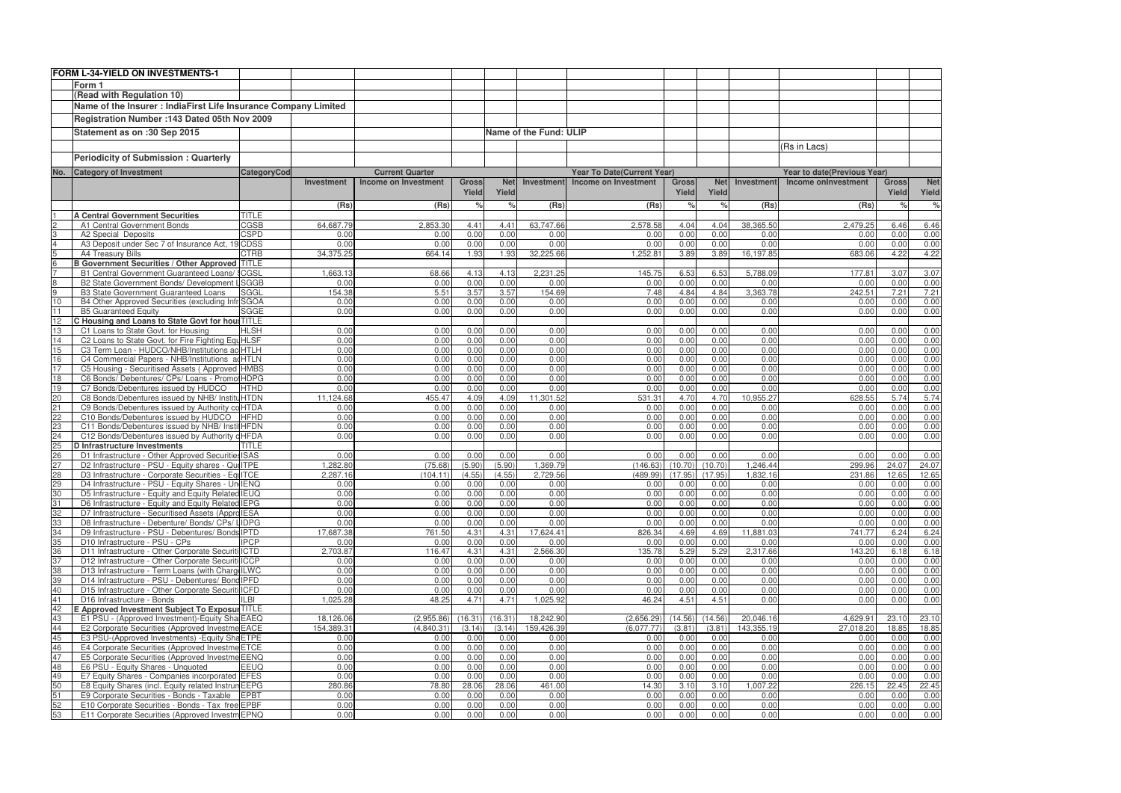|          | <b>FORM L-34-YIELD ON INVESTMENTS-1</b>                                                            |                     |                   |                             |                       |                     |                        |                                   |                       |                     |                   |                             |                       |                      |
|----------|----------------------------------------------------------------------------------------------------|---------------------|-------------------|-----------------------------|-----------------------|---------------------|------------------------|-----------------------------------|-----------------------|---------------------|-------------------|-----------------------------|-----------------------|----------------------|
|          | Form 1                                                                                             |                     |                   |                             |                       |                     |                        |                                   |                       |                     |                   |                             |                       |                      |
|          | (Read with Regulation 10)                                                                          |                     |                   |                             |                       |                     |                        |                                   |                       |                     |                   |                             |                       |                      |
|          | Name of the Insurer : IndiaFirst Life Insurance Company Limited                                    |                     |                   |                             |                       |                     |                        |                                   |                       |                     |                   |                             |                       |                      |
|          |                                                                                                    |                     |                   |                             |                       |                     |                        |                                   |                       |                     |                   |                             |                       |                      |
|          | Registration Number : 143 Dated 05th Nov 2009                                                      |                     |                   |                             |                       |                     |                        |                                   |                       |                     |                   |                             |                       |                      |
|          | Statement as on :30 Sep 2015                                                                       |                     |                   |                             |                       |                     | Name of the Fund: ULIP |                                   |                       |                     |                   |                             |                       |                      |
|          |                                                                                                    |                     |                   |                             |                       |                     |                        |                                   |                       |                     |                   | (Rs in Lacs)                |                       |                      |
|          | <b>Periodicity of Submission: Quarterly</b>                                                        |                     |                   |                             |                       |                     |                        |                                   |                       |                     |                   |                             |                       |                      |
|          |                                                                                                    |                     |                   |                             |                       |                     |                        |                                   |                       |                     |                   |                             |                       |                      |
| No.      | <b>Category of Investment</b>                                                                      | CategoryCod         |                   | <b>Current Quarter</b>      |                       |                     |                        | <b>Year To Date(Current Year)</b> |                       |                     |                   | Year to date(Previous Year) |                       |                      |
|          |                                                                                                    |                     | Investment        | <b>Income on Investment</b> | <b>Gross</b><br>Yield | <b>Net</b><br>Yield | Investment             | Income on Investment              | <b>Gross</b><br>Yield | <b>Net</b><br>Yield | <b>Investment</b> | <b>Income onInvestment</b>  | <b>Gross</b><br>Yield | <b>Net</b><br>Yield  |
|          |                                                                                                    |                     |                   |                             |                       |                     |                        |                                   |                       |                     |                   |                             |                       |                      |
|          |                                                                                                    |                     | (Rs)              | (Rs)                        | $\frac{1}{2}$         | $\frac{Q}{c}$       | (Rs)                   | (Rs)                              | $\frac{1}{2}$         | $\%$                | (Rs)              | (Rs)                        | $\%$                  | $\frac{1}{\sqrt{2}}$ |
|          | <b>A Central Government Securities</b>                                                             | <b>TITLE</b>        |                   |                             |                       |                     |                        |                                   |                       |                     |                   |                             |                       |                      |
|          | A1 Central Government Bonds<br>A2 Special Deposits                                                 | CGSB<br><b>CSPD</b> | 64,687.79<br>0.00 | 2,853.30<br>0.00            | 4.41<br>0.00          | 4.41<br>0.00        | 63,747.66<br>0.00      | 2,578.58<br>0.00                  | 4.04<br>0.00          | 4.04<br>0.00        | 38,365.50<br>0.00 | 2,479.25<br>0.00            | 6.46<br>0.00          | 6.46<br>0.00         |
|          | A3 Deposit under Sec 7 of Insurance Act, 1                                                         | <b>9 CDSS</b>       | 0.00              | 0.00                        | 0.00                  | 0.00                | 0.00                   | 0.00                              | 0.00                  | 0.00                | 0.00              | 0.00                        | 0.00                  | 0.00                 |
| 5        | A4 Treasury Bills                                                                                  | <b>CTRB</b>         | 34,375.25         | 664.14                      | 1.93                  | 1.93                | 32,225.66              | 1,252.81                          | 3.89                  | 3.89                | 16,197.85         | 683.06                      | 4.22                  | 4.22                 |
| 6        | <b>B Government Securities / Other Approved TITLE</b>                                              |                     |                   |                             |                       |                     |                        |                                   |                       |                     |                   |                             |                       |                      |
|          | B1 Central Government Guaranteed Loans/                                                            | / SCGSL             | 1,663.13          | 68.66                       | 4.13                  | 4.13                | 2,231.25               | 145.75                            | 6.53                  | 6.53                | 5,788.09          | 177.81                      | 3.07                  | 3.07                 |
|          | B2 State Government Bonds/ Development                                                             | <b>LSGGB</b>        | 0.00              | 0.00                        | 0.00                  | 0.00                | 0.00                   | 0.00                              | 0.00                  | 0.00                | 0.00              | 0.00                        | 0.00                  | 0.00                 |
| 9        | B3 State Government Guaranteed Loans                                                               | SGGL                | 154.38            | 5.51                        | 3.57                  | 3.57                | 154.69                 | 7.48                              | 4.84                  | 4.84                | 3,363.78          | 242.51                      | 7.21                  | 7.21                 |
| 10       | B4 Other Approved Securities (excluding Infr SGOA                                                  |                     | 0.00              | 0.00                        | 0.00                  | 0.00                | 0.00                   | 0.00                              | 0.00                  | 0.00                | 0.00              | 0.00                        | 0.00                  | 0.00                 |
|          | <b>B5 Guaranteed Equity</b>                                                                        | <b>SGGE</b>         | 0.00              | 0.00                        | 0.00                  | 0.00                | 0.00                   | 0.00                              | 0.00                  | 0.00                | 0.00              | 0.00                        | 0.00                  | 0.00                 |
| 12       | C Housing and Loans to State Govt for hou: TITLE<br>C1 Loans to State Govt. for Housing            |                     |                   |                             |                       |                     |                        |                                   |                       |                     |                   |                             |                       |                      |
| 13<br>14 | C2 Loans to State Govt. for Fire Fighting Equ HLSF                                                 | <b>HLSH</b>         | 0.00<br>0.00      | 0.00<br>0.00                | 0.00<br>0.00          | 0.00<br>0.00        | 0.00<br>0.00           | 0.00<br>0.00                      | 0.00<br>0.00          | 0.00<br>0.00        | 0.00<br>0.00      | 0.00<br>0.00                | 0.00<br>0.00          | 0.00<br>0.00         |
| 15       | C3 Term Loan - HUDCO/NHB/Institutions ac HTLH                                                      |                     | 0.00              | 0.00                        | 0.00                  | 0.00                | 0.00                   | 0.00                              | 0.00                  | 0.00                | 0.00              | 0.00                        | 0.00                  | 0.00                 |
| 16       | C4 Commercial Papers - NHB/Institutions                                                            | acHTLN              | 0.00              | 0.00                        | 0.00                  | 0.00                | 0.00                   | 0.00                              | 0.00                  | 0.00                | 0.00              | 0.00                        | 0.00                  | 0.00                 |
| 17       | C5 Housing - Securitised Assets (Approved HMBS                                                     |                     | 0.00              | 0.00                        | 0.00                  | 0.00                | 0.00                   | 0.00                              | 0.00                  | 0.00                | 0.00              | 0.00                        | 0.00                  | 0.00                 |
| 18       | C6 Bonds/ Debentures/ CPs/ Loans - Promo HDPG                                                      |                     | 0.00              | 0.00                        | 0.00                  | 0.00                | 0.00                   | 0.00                              | 0.00                  | 0.00                | 0.00              | 0.00                        | 0.00                  | 0.00                 |
| 19       | C7 Bonds/Debentures issued by HUDCO                                                                | <b>HTHD</b>         | 0.00              | 0.00                        | 0.00                  | 0.00                | 0.00                   | 0.00                              | 0.00                  | 0.00                | 0.00              | 0.00                        | 0.00                  | 0.00                 |
| 20       | C8 Bonds/Debentures issued by NHB/ InstitutHTDN                                                    |                     | 11,124.68         | 455.47                      | 4.09                  | 4.09                | 11,301.52              | 531.31                            | 4.70                  | 4.70                | 10,955.27         | 628.55                      | 5.74                  | 5.74                 |
| 21       | C9 Bonds/Debentures issued by Authority co HTDA                                                    |                     | 0.00              | 0.00                        | 0.00                  | 0.00                | 0.00                   | 0.00                              | 0.00                  | 0.00                | 0.00              | 0.00                        | 0.00                  | 0.00                 |
| 22       | C10 Bonds/Debentures issued by HUDCO                                                               | <b>HFHD</b>         | 0.00              | 0.00                        | 0.00                  | 0.00                | 0.00                   | 0.00                              | 0.00                  | 0.00                | 0.00              | 0.00                        | 0.00                  | 0.00                 |
| 23       | C11 Bonds/Debentures issued by NHB/ InstitHFDN                                                     |                     | 0.00              | 0.00                        | 0.00                  | 0.00                | 0.00                   | 0.00                              | 0.00                  | 0.00                | 0.00              | 0.00                        | 0.00                  | 0.00                 |
| 24<br>25 | C12 Bonds/Debentures issued by Authority dHFDA<br>D Infrastructure Investments                     | <b>TITLE</b>        | 0.00              | 0.00                        | 0.00                  | 0.00                | 0.00                   | 0.00                              | 0.00                  | 0.00                | 0.00              | 0.00                        | 0.00                  | 0.00                 |
| 26       | D1 Infrastructure - Other Approved Securities ISAS                                                 |                     | 0.00              | 0.00                        | 0.00                  | 0.00                | 0.00                   | 0.00                              | 0.00                  | 0.00                | 0.00              | 0.00                        | 0.00                  | 0.00                 |
| 27       | D2 Infrastructure - PSU - Equity shares - Qui ITPE                                                 |                     | 1,282.80          | (75.68)                     | (5.90)                | (5.90)              | 1,369.79               | (146.63)                          | (10.70)               | (10.70)             | 1,246.44          | 299.96                      | 24.07                 | 24.07                |
| 28       | D3 Infrastructure - Corporate Securities - EquITCE                                                 |                     | 2.287.16          | (104.11)                    | (4.55)                | (4.55)              | 2,729.56               | (489.99)                          | (17.95)               | (17.95)             | 1,832.16          | 231.86                      | 12.65                 | 12.65                |
| 29       | D4 Infrastructure - PSU - Equity Shares - Un IENQ                                                  |                     | 0.00              | 0.00                        | 0.00                  | 0.00                | 0.00                   | 0.00                              | 0.00                  | 0.00                | 0.00              | 0.00                        | 0.00                  | 0.00                 |
| 30       | D5 Infrastructure - Equity and Equity Related IEUQ                                                 |                     | 0.00              | 0.00                        | 0.00                  | 0.00                | 0.00                   | 0.00                              | 0.00                  | 0.00                | 0.00              | 0.00                        | 0.00                  | 0.00                 |
|          | D6 Infrastructure - Equity and Equity Related IEPG                                                 |                     | 0.00              | 0.00                        | 0.00                  | 0.00                | 0.00                   | 0.00                              | 0.00                  | 0.00                | 0.00              | 0.00                        | 0.00                  | 0.00                 |
| 32       | D7 Infrastructure - Securitised Assets (Appro IESA                                                 |                     | 0.00              | 0.00                        | 0.00                  | 0.00                | 0.00                   | 0.00                              | 0.00                  | 0.00                | 0.00              | 0.00                        | 0.00                  | 0.00                 |
| 33       | D8 Infrastructure - Debenture/ Bonds/ CPs/ LIDPG                                                   |                     | 0.00              | 0.00                        | 0.00                  | 0.00                | 0.00                   | 0.00                              | 0.00                  | 0.00                | 0.00              | 0.00                        | 0.00                  | 0.00                 |
| 34       | D9 Infrastructure - PSU - Debentures/ Bonds IPTD<br>D10 Infrastructure - PSU - CPs                 | <b>IPCP</b>         | 17,687.38<br>0.00 | 761.50<br>0.00              | 4.31<br>0.00          | 4.31<br>0.00        | 17,624.41<br>0.00      | 826.34                            | 4.69<br>0.00          | 4.69<br>0.00        | 11,881.03<br>0.00 | 741.77<br>0.00              | 6.24<br>0.00          | 6.24<br>0.00         |
| 35<br>36 | D11 Infrastructure - Other Corporate Securiti ICTD                                                 |                     | 2,703.87          | 116.47                      | 4.31                  | 4.31                | 2,566.30               | 0.00<br>135.78                    | 5.29                  | 5.29                | 2,317.66          | 143.20                      | 6.18                  | 6.18                 |
| 37       | D12 Infrastructure - Other Corporate Securiti ICCP                                                 |                     | 0.00              | 0.00                        | 0.00                  | 0.00                | 0.00                   | 0.00                              | 0.00                  | 0.00                | 0.00              | 0.00                        | 0.00                  | 0.00                 |
| 38       | D13 Infrastructure - Term Loans (with Charg ILWC                                                   |                     | 0.00              | 0.00                        | 0.00                  | 0.00                | 0.00                   | 0.00                              | 0.00                  | 0.00                | 0.00              | 0.00                        | 0.00                  | 0.00                 |
| 39       | D14 Infrastructure - PSU - Debentures/ Bond IPFD                                                   |                     | 0.00              | 0.00                        | 0.00                  | 0.00                | 0.00                   | 0.00                              | 0.00                  | 0.00                | 0.00              | 0.00                        | 0.00                  | 0.00                 |
| 40       | D15 Infrastructure - Other Corporate Securiti ICFD                                                 |                     | 0.00              | 0.00                        | 0.00                  | 0.00                | 0.00                   | 0.00                              | 0.00                  | 0.00                | 0.00              | 0.00                        | 0.00                  | 0.00                 |
| 41       | D16 Infrastructure - Bonds                                                                         | <b>ILBI</b>         | 1,025.28          | 48.25                       | 4.71                  | 4.71                | 1,025.92               | 46.24                             | 4.51                  | 4.51                | 0.00              | 0.00                        | 0.00                  | 0.00                 |
| 42       | E Approved Investment Subject To Exposul TITLE                                                     |                     |                   |                             |                       |                     |                        |                                   |                       |                     |                   |                             |                       |                      |
| 43       | E1 PSU - (Approved Investment)-Equity Sha EAEQ                                                     |                     | 18,126.06         | (2,955.86)                  | (16.31)               | (16.31)             | 18,242.90              | (2,656.29)                        | (14.56)               | (14.56)             | 20,046.16         | 4,629.91                    | 23.10                 | 23.10                |
| 44       | E2 Corporate Securities (Approved Investme EACE                                                    |                     | 154,389.31        | (4,840.31)                  | (3.14)                | (3.14)              | 159,426.39             | (6,077.77)                        | (3.81)                | (3.81)              | 143,355.19        | 27,018.20                   | 18.85                 | 18.85                |
| 45<br>46 | E3 PSU-(Approved Investments) - Equity Sha ETPE<br>E4 Corporate Securities (Approved Investme ETCE |                     | 0.00<br>0.00      | 0.00<br>0.00                | 0.00<br>0.00          | 0.00<br>0.00        | 0.00<br>0.00           | 0.00<br>0.00                      | 0.00<br>0.00          | 0.00<br>0.00        | 0.00<br>0.00      | 0.00<br>0.00                | 0.00<br>0.00          | 0.00<br>0.00         |
| 47       | E5 Corporate Securities (Approved Investme EENQ                                                    |                     | 0.00              | 0.00                        | 0.00                  | 0.00                | 0.00                   | 0.00                              | 0.00                  | 0.00                | 0.00              | 0.00                        | 0.00                  | 0.00                 |
| 48       | E6 PSU - Equity Shares - Unquoted                                                                  | <b>EEUQ</b>         | 0.00              | 0.00                        | 0.00                  | 0.00                | 0.00                   | 0.00                              | 0.00                  | 0.00                | 0.00              | 0.00                        | 0.00                  | 0.00                 |
| 49       | E7 Equity Shares - Companies incorporated EFES                                                     |                     | 0.00              | 0.00                        | 0.00                  | 0.00                | 0.00                   | 0.00                              | 0.00                  | 0.00                | 0.00              | 0.00                        | 0.00                  | 0.00                 |
| 50       | E8 Equity Shares (incl. Equity related Instrun EEPG                                                |                     | 280.86            | 78.80                       | 28.06                 | 28.06               | 461.00                 | 14.30                             | 3.10                  | 3.10                | 1,007.22          | 226.15                      | 22.45                 | 22.45                |
| 51       | E9 Corporate Securities - Bonds - Taxable                                                          | <b>EPBT</b>         | 0.00              | 0.00                        | 0.00                  | 0.00                | 0.00                   | 0.00                              | 0.00                  | 0.00                | 0.00              | 0.00                        | 0.00                  | 0.00                 |
| 52       | E10 Corporate Securities - Bonds - Tax free EPBF                                                   |                     | 0.00              | 0.00                        | 0.00                  | 0.00                | 0.00                   | 0.00                              | 0.00                  | 0.00                | 0.00              | 0.00                        | 0.00                  | 0.00                 |
| 53       | E11 Corporate Securities (Approved Investm EPNQ                                                    |                     | 0.00              | 0.00                        | 0.00                  | 0.00                | 0.00                   | 0.00                              | 0.00                  | 0.00                | 0.00              | 0.00                        | 0.00                  | 0.00                 |